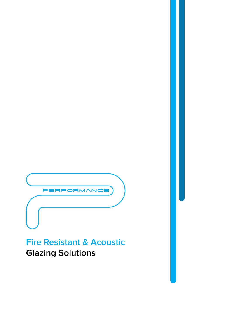

# **Fire Resistant & Acoustic Glazing Solutions**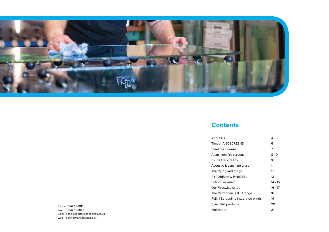

#### **Contents**

About Us Timber ANOSCREENS 6 Steel fire screens Aluminium fire screens PVCU fire screens Acoustic & Laminate glass The Pyroguard range PYROBELite & PYROBEL Schott fire rated Our Fireswiss range The Performance IGU rang Pellini Screenline integrate Specialist products Fire doors 21

Phone : 01422 861116 Fax : 01422 861126 Email : sales@performanceglass.co.uk Web : performanceglass.co.uk

|           | 4 - 5     |
|-----------|-----------|
|           | 6         |
|           | 7         |
|           | $8 - 9$   |
|           | 10        |
| 5         | 11        |
|           | 12        |
|           | 13        |
|           | $14 - 15$ |
|           | $16 - 17$ |
| ge        | 18        |
| ed blinds | 19        |
|           | 20        |
|           | ~         |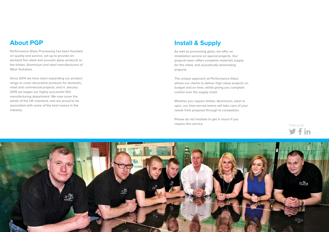#### **About PGP**

**Performance Glass Processing has been founded on quality and service, set up to provide ondemand fire rated and acoustic glass products to the timber, Aluminium and steel manufacturers of West Yorkshire.**

**Since 2014 we have been expanding our product range to cover decorative products for domestic, retail and commercial projects, and in January 2015 we began our highly successful IGU manufacturing department. We now cover the whole of the UK mainland, and are proud to be associated with some of the best names in the industry.**



#### **Install & Supply**

**As well as processing glass, we offer an installation service on special projects. Our projects team offers complete materials supply for fire rated, and acoustically demanding projects.** 

**The unique approach at Performance Glass allows our clients to deliver high value projects on budget and on time, whilst giving you complete control over the supply chain.**

**Whether you require timber, Aluminium, steel or upvc, our time-served teams will take care of your needs from proposal through to completion.**

**Please do not hesitate to get in touch if you require this service.**

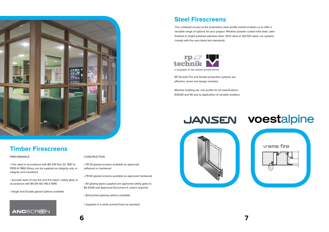

### **Timber Firescreens**

#### CONSTRUCTION

- FR 30 glazed screens available as approved softwood or hardwood
- FR 60 glazed screens available as approved hardwood
- All glazing types supplied are approved safety glass to BS 6206 and Approved Document K, where required
- Butt jointed glazing options available
- Supplied in a white primed finish as standard

#### PERFORMANCE

• Fire rated in accordance with BS 476 Part 22: 1987 to FR30 & FR60 (Glass can be supplied as integrity only, or integrity and insulation)

• Acoustic tests of non-fire and fire-rated / safety glass in accordance with BS EN ISO 140:3 1995

• Single and Double glazed options available



#### **Steel Firescreens**

RP Technik Fire and Smoke protection systems are effective, smart and design oriented.

Modular building set, one profile for all classifications EI30,60 and 90 due to application of variable isolators.







'Our unbiased access to the proprietary steel profile market enables us to offer a versatile range of options for your project. Whether powder coated mild steel, satin finished or bright polished stainless steel, 30/0 rated or 120/120 rated, our systems comply with the very latest test standards.'



a company of the welser profile group

# **JANSEN VOEStalpine**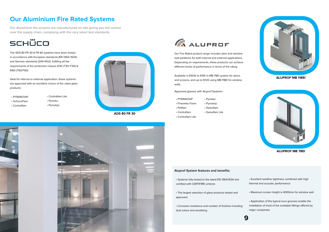**ALUPROF MB 78EI**



### **Our Aluminium Fire Rated Systems**

**Our Aluminium fire screens are manufactured on site giving you full control over the supply chain, complying with the very latest test standards.**



The ADS 80 FR 30 & FR 60 systems have been tested in accordance with European standards (EN 1364/1634) and German standards (DIN 4102), fulfilling all the requirements of fire protection classes EI30 (T30/F30) & EI60 (T60/F60)

Ideal for internal or external application, these systems are approved with an excellent choice of fire rated glass products:

- PYRANOVA®
- Contraflam Lite
- SchücoFlam
- Contraflam
- Pyrodur
- Pyrostop
- PYRANOVA®
- Fireswiss Foam
- Pyrobel • Pyrostop
- Swissflam
- Swissflam Lite
- Contraflam Lite

 • Polflam • Contraflam

#### **Aluprof System features and benefits:**

 • Systems fully tested to the latest EN 1364/1634 and certified with CERTIFIRE scheme

 • The largest selection of glass products tested and approved

 • Corrosion resistance and number of finishes including dual colour and anodising

 • Excellent weather-tightness combined with high thermal and acoustic performance

• Maximum screen height is 4000mm for window wall

 • Application of the typical euro grooves enable the installation of most of the available fittings offered by major companies

Our Fire Rated product range includes door and window wall partitions for both internal and external applications. Depending on requirements, these products can achieve different levels of performance in terms of fire rating.

Available in EW30 to EI90 in MB-78EI system for doors and screens, and up to EI120 using MB-118EI for window walls.

**ALUPROF MB 118EI**





**ADS 80 FR 30**





Approved glasses with Aluprof Systems -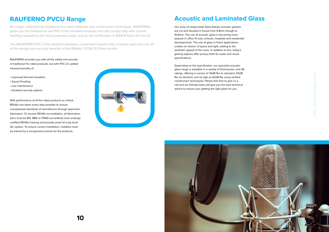**No longer restricted by traditional fire rated materials and construction techniques, RAUFERNO gives you the freedom to use PVC-U fire resistant windows and still comply fully with current building regulations for most protected areas, due to full certification to BS476 Parts 20 and 22.**

**The RAUFERNO PVC-U fire resistant windows, a patented industry first, is based upon and has all of the design and security benefits of the REHAU TOTAL70 70mm profile.** 

### **RAUFERNO PVCU Range**

RAUFERNO provides you with all the safety and security of traditional fire rated products, but with PVC-U's added inherent benefits of:

- Improved thermal insulation
- Sound Proofing
- Low maintenance
- Excellent security options

### **Acoustic and Laminated Glass**

Our array of ready-made Saint-Gobain acoustic glasses are cut and stocked in-house from 6.8mm though to 16.8mm. The use of acoustic glass is becoming more popular in office fit outs, schools, hospitals and residential developments. The use of glass in these applications creates an illusion of space and light, adding to the aesthetic appeal of the room. In addition to this, today's glazing options offer privacy both for audio and visual specifications.

Depending on the specification, our specialist acoustic glass range is available in a variety of thicknesses, and dB ratings, offering in excess of 35dB Rw as standard, 50dB Rw on demand, and as high as 60dB Rw using verified construction techniques. Please feel free to give us a call and our friendly team will give you the best technical advice to ensure your getting the right glass for you.



//PGP - performanceglass.co.uk

With performance of all fire rated products so critical, REHAU has taken every step possible to ensure unsurpassed standards of manufacture through approved fabricators. To receive REHAU accreditation, all fabricators (who must be BSI, BBA or FIRAS accredited) must undergo certified REHAU training and provide proof of a top level QC system. To ensure correct installation, installers must be trained by a recognised scheme for fire products.



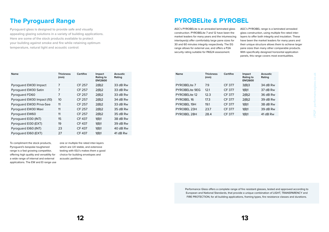//PGP - performanceglass.co.uk

To compliment the stock products, Pyroguard's bespoke toughened range is a fast growing competitor, offering high quality and versatility for a wide range of internal and external applications. The EW and EI range use one or multiple fire rated inter-layers which are UV stable, and extensive testing with IGU's makes them a good choice for building envelopes and acoustic partitions.

### **The Pyroguard Range**

**Pyroguard glass is designed to provide safe and visually appealing glazing solutions in a variety of building applications. Here are some of the stock products available to protect your building against smoke and fire while retaining optimum temperature, natural light and acoustic control:**

| <b>Name</b>                | <b>Thickness</b><br>(mm) | Certifire     | <b>Impact</b><br>Rating to<br><b>EN12600</b> | <b>Acoustic</b><br>Rating |
|----------------------------|--------------------------|---------------|----------------------------------------------|---------------------------|
| Pyroguard EW30 Impact      | 7                        | <b>CF 257</b> | 2(B)2                                        | 33 dB Rw                  |
| Pyroguard EW30 Satin       | 7                        | <b>CF 257</b> | 2(B)2                                        | 33 dB Rw                  |
| Pyroguard FD60             | 7                        | <b>CF 257</b> | 2(B)2                                        | 33 dB Rw                  |
| Pyroguard EW30 Impact (10) | 10 <sup>1</sup>          | CF 257        | 2(B)2                                        | 34 dB Rw                  |
| Pyroguard EW30 Priva-See   | 11                       | <b>CF 257</b> | 2(B)2                                        | 33 dB Rw                  |
| Pyroguard EW30 Maxi        | 11                       | CF 257        | 2(B)2                                        | 35 dB Rw                  |
| Pyroguard EW60             | 11                       | <b>CF 257</b> | 2(B)2                                        | 35 dB Rw                  |
| Pyroguard EI30 (INT)       | 15                       | <b>CF 437</b> | 1(B)1                                        | 38 dB Rw                  |
| Pyroguard EI30 (EXT)       | 19                       | <b>CF 437</b> | 1(B)1                                        | 39 dB Rw                  |
| Pyroguard EI60 (INT)       | 23                       | <b>CF 437</b> | 1(B)1                                        | 40 dB Rw                  |
| Pyroguard EI60 (EXT)       | 27                       | <b>CF 437</b> | 1(B)1                                        | 41 dB Rw                  |

AGC's PYROBELite is an annealed laminated glass construction. PYROBELite 7 and 12 have been the market leaders for many years and the intumescing interlayer(s) offer comfortably large pane sizes for 30 and 60 minutes integrity respectively. The EG range allows for external use, and offers a P2A security rating suitable for PAS24 assessment.

AGC's PYROBEL range is a laminated annealed glass construction, using multiple fire rated interlayers to offer both integrity and insulation. These have been the market leaders for many years and their unique structure allows them to achieve larger pane sizes than many other comparable products. With specifically designed horizontal application panels, this range covers most eventualities.

| <b>PYROBELite &amp; PYROBEL</b> |  |  |  |
|---------------------------------|--|--|--|
|---------------------------------|--|--|--|

| <b>Name</b>           | <b>Thickness</b><br>(mm) | Certifire     | Impact<br>Rating to<br><b>EN12600</b> | Acoustic<br>Rating |
|-----------------------|--------------------------|---------------|---------------------------------------|--------------------|
| PYROBELite 7          | 7.9                      | <b>CF 377</b> | 3(B)3                                 | 34 dB Rw           |
| <b>PYROBELite 9EG</b> | 12.1                     | <b>CF 377</b> | 1(B)1                                 | 37 dB Rw           |
| PYROBELite 12         | 12.3                     | <b>CF 377</b> | 2(B)2                                 | 36 dB Rw           |
| <b>PYROBEL 16</b>     | 17.3                     | <b>CF 377</b> | 2(B)2                                 | 39 dB Rw           |
| PYROBEL 19H           | 191                      | <b>CF 377</b> | 1(B)1                                 | 38 dB Rw           |
| PYROBEL 23H           | 23.7                     | <b>CF 377</b> | 1(B)1                                 | 39 dB Rw           |
| PYROBEL 28H           | 28.4                     | <b>CF 377</b> | 1(B)1                                 | 41 dB Rw           |

Performance Glass offers a complete range of fire resistant glasses, tested and approved according to European and National Standards, that provide a unique combination of LIGHT, TRANSPARENCY and FIRE PROTECTION, for all building applications, framing types, fire resistance classes and durations.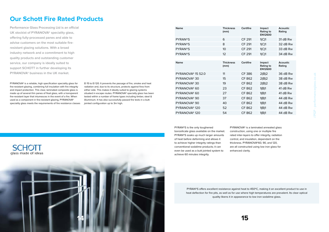### **Our Schott Fire Rated Products**

**Performance Glass Processing Ltd is an official UK stockist of PYRANOVA® speciality glass, offering fully-processed panes and able to advise customers on the most suitable fireresistant glazing solutions. With a broad industry network and a commitment to high quality products and outstanding customer service, our company is ideally suited to support SCHOTT in further developing its PYRANOVA® business in the UK market.**

> PYRAN®S is the only toughened borosilicate glass available on the market. PYRAN®S soaks up much larger amounts of heat before deforming and allows it to achieve higher integrity ratings than conventional sodalime products; it can even be used as a butt jointed system to achieve 60 minutes integrity.

PYRANOVA® is a laminated annealed glass construction, using one or multiple fire rated inter-layers to offer integrity, radiation control, and insulation, dependant on the thickness. PYRANOVA®60, 90, and 120, are all constructed using low iron glass for enhanced clarity.

PYRANOVA® is a reliable, high specification speciality glass for fire-resistant glazing, combining full insulation with fire integrity and impact protection. This clear, laminated composite glass is made up of several thin panes of float glass, with a transparent fire-resistant layer that intumesces in the event of a fire. When used as a component in fire-resistant glazing, PYRANOVA® speciality glass meets the requirements of fire resistance classes

EI 15 to EI 120. It prevents the passage of fire, smoke and heat radiation and, due to its structure, protects against fires from either side. This makes it ideally suited to glazing systems situated in escape routes. PYRANOVA® specialty glass has been tested within a number of frame types including timber, steel & Aluminium. It has also successfully passed fire tests in a buttjointed configuration up to 3m high.

| <b>Name</b>                   | <b>Thickness</b><br>(mm) | Certifire     | Impact<br>Rating to<br><b>EN12600</b> | Acoustic<br>Rating        |
|-------------------------------|--------------------------|---------------|---------------------------------------|---------------------------|
| <b>PYRAN®S</b>                | 6                        | <b>CF 291</b> | 1(C)1                                 | 31 dB Rw                  |
| <b>PYRAN®S</b>                | 8                        | <b>CF 291</b> | 1(C)1                                 | 32 dB Rw                  |
| <b>PYRAN®S</b>                | 10 <sup>°</sup>          | <b>CF 291</b> | 1(C)1                                 | 33 dB Rw                  |
| <b>PYRAN®S</b>                | 12                       | <b>CF 291</b> | 1(C)1                                 | 34 dB Rw                  |
|                               |                          |               |                                       |                           |
| <b>Name</b>                   | <b>Thickness</b><br>(mm) | Certifire     | Impact<br>Rating to<br><b>EN12600</b> | <b>Acoustic</b><br>Rating |
| PYRANOVA <sup>®</sup> 15 S2.0 | 11                       | <b>CF386</b>  | 2(B)2                                 | 36 dB Rw                  |
| PYRANOVA <sup>®</sup> 30      | 15                       | <b>CF 862</b> | 2(B)2                                 | 38 dB Rw                  |
| PYRANOVA <sup>®</sup> 30      | 19                       | <b>CF 862</b> | 2(B)2                                 | 38 dB Rw                  |
| PYRANOVA <sup>®</sup> 60      | 23                       | <b>CF 862</b> | 1(B)1                                 | 41 dB Rw                  |
| PYRANOVA <sup>®</sup> 60      | 27                       | <b>CF 862</b> | 1(B)1                                 | 41 dB Rw                  |
| PYRANOVA <sup>®</sup> 90      | 37                       | <b>CF 862</b> | 1(B)1                                 | 44 dB Rw                  |
| PYRANOVA <sup>®</sup> 90      | 40                       | <b>CF 862</b> | 1(B)1                                 | 44 dB Rw                  |
| PYRANOVA <sup>®</sup> 120     | 52                       | <b>CF 862</b> | 1(B)1                                 | 44 dB Rw                  |
| PYRANOVA <sup>®</sup> 120     | 54                       | <b>CF 862</b> | 1(B)1                                 | 44 dB Rw                  |
|                               |                          |               |                                       |                           |

PYRAN®S offers excellent resistance against heat to 450ºC, making it an excellent product to use in heat deflection for fire pits, as well as for use where high temperatures are prevalent. Its clear optical quality likens it in appearance to low iron sodalime glass.

//PGP - performanceglass.co.uk

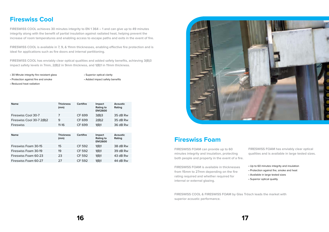## **Fireswiss Cool**

**FIRESWISS COOL achieves 30 minutes integrity to EN 1 364 – 1 and can give up to 49 minutes integrity along with the benefit of partial insulation against radiated heat, helping prevent the increase of room temperatures and enabling access to escape paths and exits in the event of fire.**

**FIRESWISS COOL is available in 7, 9, & 11mm thicknesses, enabling effective fire protection and is ideal for applications such as fire doors and internal partitioning.**

**FIRESWISS COOL has enviably clear optical qualities and added safety benefits, achieving 3(B)3 impact safety levels in 7mm, 2(B)2 in 9mm thickness, and 1(B)1 in 11mm thickness.**

#### **Fireswiss Foam**

**FIRESWISS FOAM can provide up to 60 minutes integrity and insulation, protecting both people and property in the event of a fire. FIRESWISS FOAM has enviably clear optical qualities and is available in large tested sizes.**

**FIRESWISS FOAM is available in thicknesses from 15mm to 27mm depending on the fire rating required and whether required for internal or external glazing.**

- Up to 60 minutes integrity and insulation
- Protection against fire, smoke and heat
- Available in large tested sizes
- Superior optical quality

| <b>Name</b>               | <b>Thickness</b><br>(mm) | Certifire | <b>Impact</b><br>Rating to<br><b>EN12600</b> | <b>Acoustic</b><br>Rating |
|---------------------------|--------------------------|-----------|----------------------------------------------|---------------------------|
| Fireswiss Cool 30-7       | 7                        | CF 699    | 3(B)3                                        | 35 dB Rw                  |
| Fireswiss Cool 30-7 2(B)2 | 9                        | CF 699    | 2(B)2                                        | 35 dB Rw                  |
| <b>Fireswiss</b>          | $11 - 16$                | CF 699    | 1(B)1                                        | 36 dB Rw                  |

| <b>Name</b>          | <b>Thickness</b><br>(mm) | <b>Certifire</b> | Impact<br>Rating to<br><b>EN12600</b> | Acoustic<br>Rating |
|----------------------|--------------------------|------------------|---------------------------------------|--------------------|
| Fireswiss Foam 30-15 | 15                       | <b>CF 592</b>    | 1(B)1                                 | 38 dB Rw           |
| Fireswiss Foam 30-19 | 19                       | <b>CF 592</b>    | 1(B)1                                 | 39 dB Rw           |
| Fireswiss Foam 60-23 | 23                       | <b>CF 592</b>    | 1(B)1                                 | 43 dB Rw           |
| Fireswiss Foam 60-27 | 27                       | <b>CF 592</b>    | 1(B)1                                 | 44 dB Rw           |



• 30 Minute integrity fire resistant glass

- Protection against fire and smoke
- Reduced heat radiation

**FIRESWISS COOL & FIRESWISS FOAM by Glas Trösch leads the market with superior acoustic performance.**

• Superior optical clarity

• Added impact safety benefits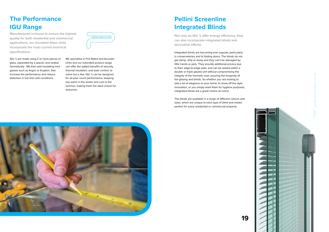#### **Pellini Screenline Integrated Blinds**

Integrated blinds are becoming ever popular, particularly in conservatories and bi folding doors. The blinds do not get damp, dirty or dusty and they can't be damaged by little hands or pets. They provide additional privacy due to their edge-to-edge slats, and can be sealed within a double or triple glazed unit without compromising the integrity of the hermetic seal; assuring the longevity of the glazing and blinds. So whether you are looking to add a bit of elegance to your home, to show off the style innovation, or you simply want them for hygiene purposes, integrated blinds are a great choice all round.

The blinds are available in a range of different colours and sizes, which are unique to each type of blind and model, perfect for every residential or commercial property.



**Not only do IGU 's offer energy efficiency, they can also incorporate integrated blinds and decorative effects.**

# **The Performance IGU Range**

IGU 's are made using 2 or more pieces of glass, separated by a spacer, and sealed hermetically. We then add insulating inert gasses such as Argon or Krypton, that increase the performance and reduce distortion in hot and cold conditions.

We specialise in Fire Rated and Acoustic Units and our extended product range can offer the added benefits of security, thermal insulation, and solar control, to name but a few. IGU 's can be designed for all-year round performance, keeping you warm in the winter and cool in the summer, making them the ideal choice for everyone.

**Manufactured in-house to ensure the highest quality for both residential and commercial applications, our Insulated Glass Units incorporate the most current technical specifications.** 



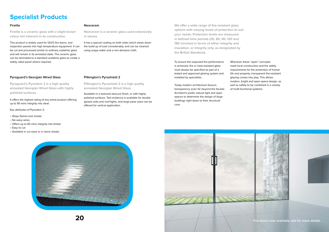### **Specialist Products**

This product is widely used for 120/0 fire doors, and inspection panels into high temperature equipment. It can be cut and processed similar to ordinary sodalime glass and will remain in its annealed state. The ceramic glass can be laminated to a standard sodalime glass to create a safety rated panel where required.

**Firelite is a ceramic glass with a slight brown colour tint inherent in its construction.**

#### **Firelite**

It has a special coating on both sides which slows down the build-up of soot considerably, and can be cleaned using soapy water and a non-abrasive cloth.

**Neoceram is a ceramic glass used extensively in stoves.** 

#### **Neoceram**

**Pilkington's Pyroshield 2 is a high quality annealed Georgian Wired Glass.**

Available in a textured obscure finish, or with highly polished surfaces. Test evidence is available for double glazed units and roof-lights, and large pane sizes can be offered for vertical application.

**Pyroguard's Pyrostem 2 is a high quality annealed Georgian Wired Glass with highly polished surfaces.**

#### **Pyroguard's Georgian Wired Glass**

To ensure the expected fire performance is achieved, fire or heat-resistant glass must always be specified as part of a tested and approved glazing system and installed by specialists.

Today modern architecture favours transparency even far beyond the facade: Architect's prefer natural light and open spaces to determine the design of large buildings right down to their structural core.

Wherever these "open" concepts meet local construction and fire safety requirements for the protection of human life and property, transparent fire-resistant glazing comes into play. This allows modern, bright and open space design, as well as safety to be combined in a variety of multi-functional systems.



**We offer a wide range of fire-resistant glass options with varying levels of protection to suit your needs. Protection levels are measured in defined time periods (30, 60, 90, 120 and 180 minutes) in terms of either integrity and insulation, or integrity only, as designated by the British Standards.** 



It offers the highest rating of any wired product offering up to 90 mins integrity into steel.

#### **Pilkington's Pyroshield 2**

- Stops flames and smoke
- No wavy wires
- Offers up to 60 mins integrity into timber
- Easy to cut
- Available in cut sizes or in stock sheets

Key attributes of Pyrostem 2;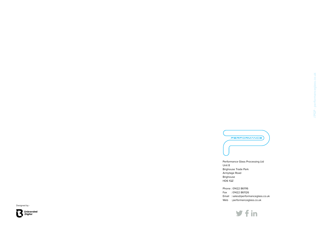

Unit 8 Brighouse Trade Park Armytage Road Brighouse HD6 1QZ

Phone : 01422 861116 Fax : 01422 861126 Email : sales@performanceglass.co.uk Web : performanceglass.co.uk

 $yfin$ 





co.uk //PGP - performanceglass.co.uk //PGP - performancegl